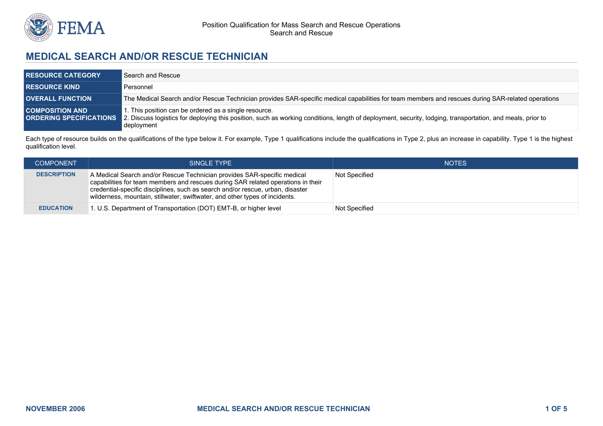

## **MEDICAL SEARCH AND/OR RESCUE TECHNICIAN**

| <b>RESOURCE CATEGORY</b>                                 | Search and Rescue                                                                                                                                                                                                                |
|----------------------------------------------------------|----------------------------------------------------------------------------------------------------------------------------------------------------------------------------------------------------------------------------------|
| <b>RESOURCE KIND</b>                                     | Personnel                                                                                                                                                                                                                        |
| <b>OVERALL FUNCTION</b>                                  | The Medical Search and/or Rescue Technician provides SAR-specific medical capabilities for team members and rescues during SAR-related operations                                                                                |
| <b>COMPOSITION AND</b><br><b>ORDERING SPECIFICATIONS</b> | . This position can be ordered as a single resource.<br>2. Discuss logistics for deploying this position, such as working conditions, length of deployment, security, lodging, transportation, and meals, prior to<br>deployment |

Each type of resource builds on the qualifications of the type below it. For example, Type 1 qualifications include the qualifications in Type 2, plus an increase in capability. Type 1 is the highest qualification level.

| <b>COMPONENT</b>   | SINGLE TYPE                                                                                                                                                                                                                                                                                                                  | <b>NOTES</b>  |
|--------------------|------------------------------------------------------------------------------------------------------------------------------------------------------------------------------------------------------------------------------------------------------------------------------------------------------------------------------|---------------|
| <b>DESCRIPTION</b> | A Medical Search and/or Rescue Technician provides SAR-specific medical<br>capabilities for team members and rescues during SAR related operations in their<br>credential-specific disciplines, such as search and/or rescue, urban, disaster<br>wilderness, mountain, stillwater, swiftwater, and other types of incidents. | Not Specified |
| <b>EDUCATION</b>   | 1. U.S. Department of Transportation (DOT) EMT-B, or higher level                                                                                                                                                                                                                                                            | Not Specified |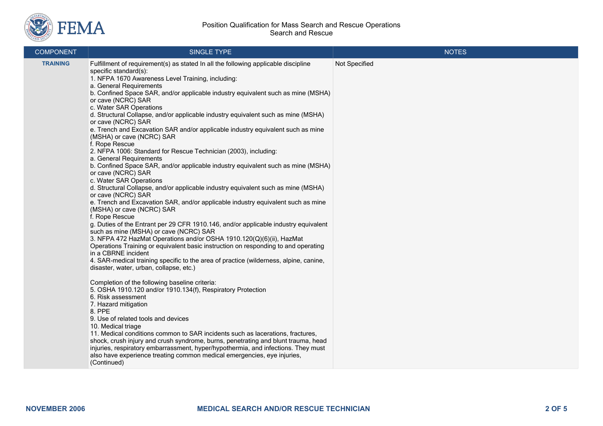

## Position Qualification for Mass Search and Rescue Operations Search and Rescue

| <b>COMPONENT</b> | <b>SINGLE TYPE</b>                                                                                                                                                                                                                                                                                                                                                                                                                                                                                                                                                                                                                                                                                                                                                                                                                                                                                                                                                                                                                                                                                                                                                                                                                                                                                                                                                                                                                                                                                                                                                                                                                                                                                                                                                                                                                                                                                                                                                                                                                                                                                                   | <b>NOTES</b>  |
|------------------|----------------------------------------------------------------------------------------------------------------------------------------------------------------------------------------------------------------------------------------------------------------------------------------------------------------------------------------------------------------------------------------------------------------------------------------------------------------------------------------------------------------------------------------------------------------------------------------------------------------------------------------------------------------------------------------------------------------------------------------------------------------------------------------------------------------------------------------------------------------------------------------------------------------------------------------------------------------------------------------------------------------------------------------------------------------------------------------------------------------------------------------------------------------------------------------------------------------------------------------------------------------------------------------------------------------------------------------------------------------------------------------------------------------------------------------------------------------------------------------------------------------------------------------------------------------------------------------------------------------------------------------------------------------------------------------------------------------------------------------------------------------------------------------------------------------------------------------------------------------------------------------------------------------------------------------------------------------------------------------------------------------------------------------------------------------------------------------------------------------------|---------------|
| <b>TRAINING</b>  | Fulfillment of requirement(s) as stated In all the following applicable discipline<br>specific standard(s):<br>1. NFPA 1670 Awareness Level Training, including:<br>a. General Requirements<br>b. Confined Space SAR, and/or applicable industry equivalent such as mine (MSHA)<br>or cave (NCRC) SAR<br>c. Water SAR Operations<br>d. Structural Collapse, and/or applicable industry equivalent such as mine (MSHA)<br>or cave (NCRC) SAR<br>e. Trench and Excavation SAR and/or applicable industry equivalent such as mine<br>(MSHA) or cave (NCRC) SAR<br>f. Rope Rescue<br>2. NFPA 1006: Standard for Rescue Technician (2003), including:<br>a. General Requirements<br>b. Confined Space SAR, and/or applicable industry equivalent such as mine (MSHA)<br>or cave (NCRC) SAR<br>c. Water SAR Operations<br>d. Structural Collapse, and/or applicable industry equivalent such as mine (MSHA)<br>or cave (NCRC) SAR<br>e. Trench and Excavation SAR, and/or applicable industry equivalent such as mine<br>(MSHA) or cave (NCRC) SAR<br>f. Rope Rescue<br>g. Duties of the Entrant per 29 CFR 1910.146, and/or applicable industry equivalent<br>such as mine (MSHA) or cave (NCRC) SAR<br>3. NFPA 472 HazMat Operations and/or OSHA 1910.120(Q)(6)(ii), HazMat<br>Operations Training or equivalent basic instruction on responding to and operating<br>in a CBRNE incident<br>4. SAR-medical training specific to the area of practice (wilderness, alpine, canine,<br>disaster, water, urban, collapse, etc.)<br>Completion of the following baseline criteria:<br>5. OSHA 1910.120 and/or 1910.134(f), Respiratory Protection<br>6. Risk assessment<br>7. Hazard mitigation<br>8. PPE<br>9. Use of related tools and devices<br>10. Medical triage<br>11. Medical conditions common to SAR incidents such as lacerations, fractures,<br>shock, crush injury and crush syndrome, burns, penetrating and blunt trauma, head<br>injuries, respiratory embarrassment, hyper/hypothermia, and infections. They must<br>also have experience treating common medical emergencies, eye injuries,<br>(Continued) | Not Specified |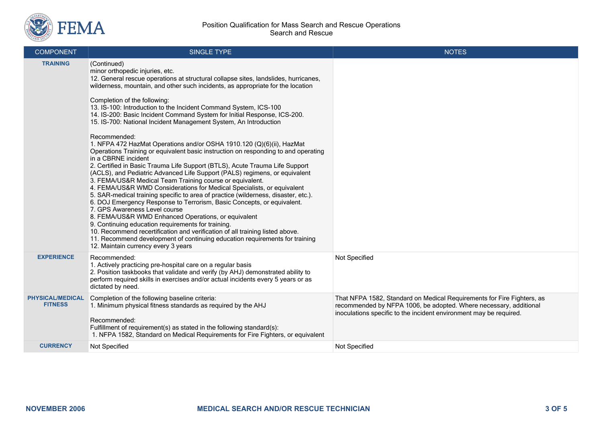

| <b>COMPONENT</b>                          | SINGLE TYPE                                                                                                                                                                                                                                                                                                                                                                                                                                                                                                                                                                                                                                                                                                                                                                                                                                                                                                                                                                                                                                                                                                                                                                                                                                                                                                                                                                                                                                                                                               | <b>NOTES</b>                                                                                                                                                                                                      |
|-------------------------------------------|-----------------------------------------------------------------------------------------------------------------------------------------------------------------------------------------------------------------------------------------------------------------------------------------------------------------------------------------------------------------------------------------------------------------------------------------------------------------------------------------------------------------------------------------------------------------------------------------------------------------------------------------------------------------------------------------------------------------------------------------------------------------------------------------------------------------------------------------------------------------------------------------------------------------------------------------------------------------------------------------------------------------------------------------------------------------------------------------------------------------------------------------------------------------------------------------------------------------------------------------------------------------------------------------------------------------------------------------------------------------------------------------------------------------------------------------------------------------------------------------------------------|-------------------------------------------------------------------------------------------------------------------------------------------------------------------------------------------------------------------|
| <b>TRAINING</b>                           | (Continued)<br>minor orthopedic injuries, etc.<br>12. General rescue operations at structural collapse sites, landslides, hurricanes,<br>wilderness, mountain, and other such incidents, as appropriate for the location<br>Completion of the following:<br>13. IS-100: Introduction to the Incident Command System, ICS-100<br>14. IS-200: Basic Incident Command System for Initial Response, ICS-200.<br>15. IS-700: National Incident Management System, An Introduction<br>Recommended:<br>1. NFPA 472 HazMat Operations and/or OSHA 1910.120 (Q)(6)(ii), HazMat<br>Operations Training or equivalent basic instruction on responding to and operating<br>in a CBRNE incident<br>2. Certified in Basic Trauma Life Support (BTLS), Acute Trauma Life Support<br>(ACLS), and Pediatric Advanced Life Support (PALS) regimens, or equivalent<br>3. FEMA/US&R Medical Team Training course or equivalent.<br>4. FEMA/US&R WMD Considerations for Medical Specialists, or equivalent<br>5. SAR-medical training specific to area of practice (wilderness, disaster, etc.).<br>6. DOJ Emergency Response to Terrorism, Basic Concepts, or equivalent.<br>7. GPS Awareness Level course<br>8. FEMA/US&R WMD Enhanced Operations, or equivalent<br>9. Continuing education requirements for training.<br>10. Recommend recertification and verification of all training listed above.<br>11. Recommend development of continuing education requirements for training<br>12. Maintain currency every 3 years |                                                                                                                                                                                                                   |
| <b>EXPERIENCE</b>                         | Recommended:<br>1. Actively practicing pre-hospital care on a regular basis<br>2. Position taskbooks that validate and verify (by AHJ) demonstrated ability to<br>perform required skills in exercises and/or actual incidents every 5 years or as<br>dictated by need.                                                                                                                                                                                                                                                                                                                                                                                                                                                                                                                                                                                                                                                                                                                                                                                                                                                                                                                                                                                                                                                                                                                                                                                                                                   | Not Specified                                                                                                                                                                                                     |
| <b>PHYSICAL/MEDICAL</b><br><b>FITNESS</b> | Completion of the following baseline criteria:<br>1. Minimum physical fitness standards as required by the AHJ<br>Recommended:<br>Fulfillment of requirement(s) as stated in the following standard(s):<br>1. NFPA 1582, Standard on Medical Requirements for Fire Fighters, or equivalent                                                                                                                                                                                                                                                                                                                                                                                                                                                                                                                                                                                                                                                                                                                                                                                                                                                                                                                                                                                                                                                                                                                                                                                                                | That NFPA 1582, Standard on Medical Requirements for Fire Fighters, as<br>recommended by NFPA 1006, be adopted. Where necessary, additional<br>inoculations specific to the incident environment may be required. |
| <b>CURRENCY</b>                           | Not Specified                                                                                                                                                                                                                                                                                                                                                                                                                                                                                                                                                                                                                                                                                                                                                                                                                                                                                                                                                                                                                                                                                                                                                                                                                                                                                                                                                                                                                                                                                             | Not Specified                                                                                                                                                                                                     |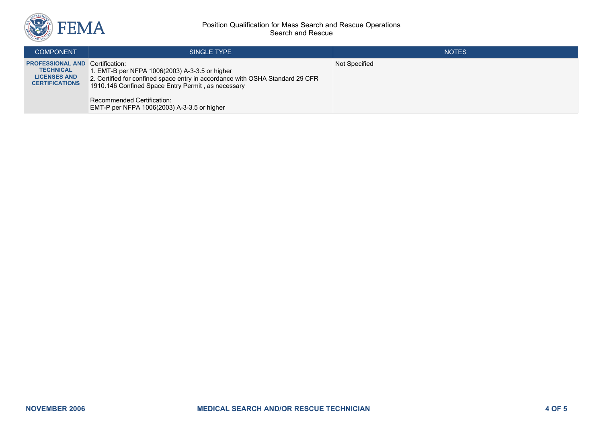

## Position Qualification for Mass Search and Rescue Operations Search and Rescue

| <b>COMPONENT</b>                                                                                           | SINGLE TYPE                                                                                                                                                                                                                                                               | <b>NOTES</b>  |
|------------------------------------------------------------------------------------------------------------|---------------------------------------------------------------------------------------------------------------------------------------------------------------------------------------------------------------------------------------------------------------------------|---------------|
| <b>PROFESSIONAL AND Certification:</b><br><b>TECHNICAL</b><br><b>LICENSES AND</b><br><b>CERTIFICATIONS</b> | 1. EMT-B per NFPA 1006(2003) A-3-3.5 or higher<br>2. Certified for confined space entry in accordance with OSHA Standard 29 CFR<br>1910.146 Confined Space Entry Permit, as necessary<br><b>Recommended Certification:</b><br>EMT-P per NFPA 1006(2003) A-3-3.5 or higher | Not Specified |